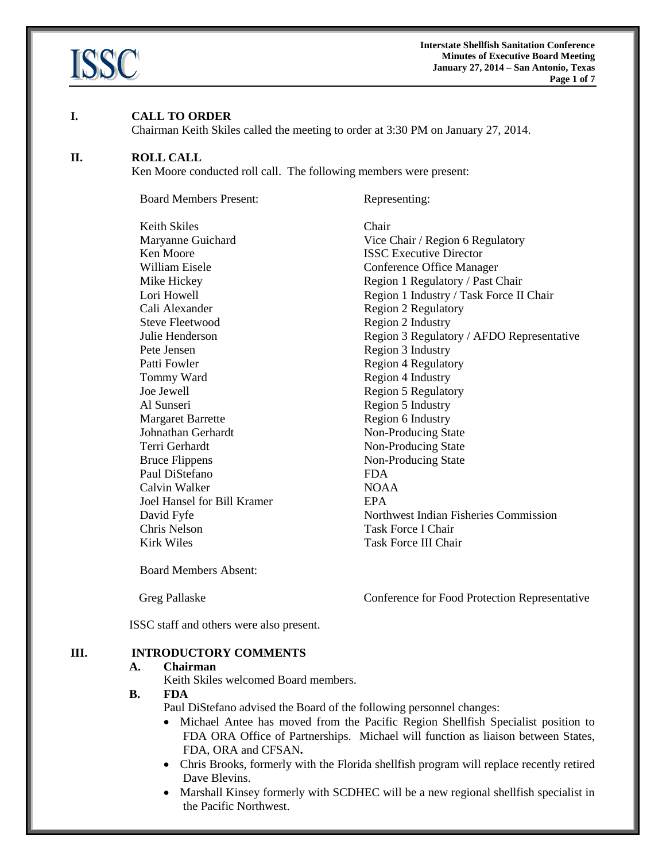

#### **I. CALL TO ORDER**

Chairman Keith Skiles called the meeting to order at 3:30 PM on January 27, 2014.

#### **II. ROLL CALL**

Ken Moore conducted roll call. The following members were present:

Board Members Present: Representing:

Keith Skiles Chair **Ken Moore ISSC Executive Director** Cali Alexander Region 2 Regulatory Steve Fleetwood Region 2 Industry Pete Jensen Region 3 Industry Patti Fowler Region 4 Regulatory Tommy Ward Region 4 Industry Joe Jewell Region 5 Regulatory Al Sunseri Region 5 Industry Margaret Barrette Region 6 Industry Johnathan Gerhardt Non-Producing State Terri Gerhardt Non-Producing State Bruce Flippens Non-Producing State Paul DiStefano FDA Calvin Walker NOAA Joel Hansel for Bill Kramer EPA Chris Nelson Task Force I Chair Kirk Wiles Task Force III Chair

Maryanne Guichard Vice Chair / Region 6 Regulatory William Eisele **Conference** Office Manager Mike Hickey Region 1 Regulatory / Past Chair Lori Howell **Region 1 Industry / Task Force II Chair** Julie Henderson Region 3 Regulatory / AFDO Representative David Fyfe Northwest Indian Fisheries Commission

Board Members Absent:

Greg Pallaske Conference for Food Protection Representative

ISSC staff and others were also present.

#### **III. INTRODUCTORY COMMENTS**

#### **A. Chairman**

Keith Skiles welcomed Board members.

## **B. FDA**

Paul DiStefano advised the Board of the following personnel changes:

- Michael Antee has moved from the Pacific Region Shellfish Specialist position to FDA ORA Office of Partnerships. Michael will function as liaison between States, FDA, ORA and CFSAN**.**
- Chris Brooks, formerly with the Florida shellfish program will replace recently retired Dave Blevins.
- Marshall Kinsey formerly with SCDHEC will be a new regional shellfish specialist in the Pacific Northwest.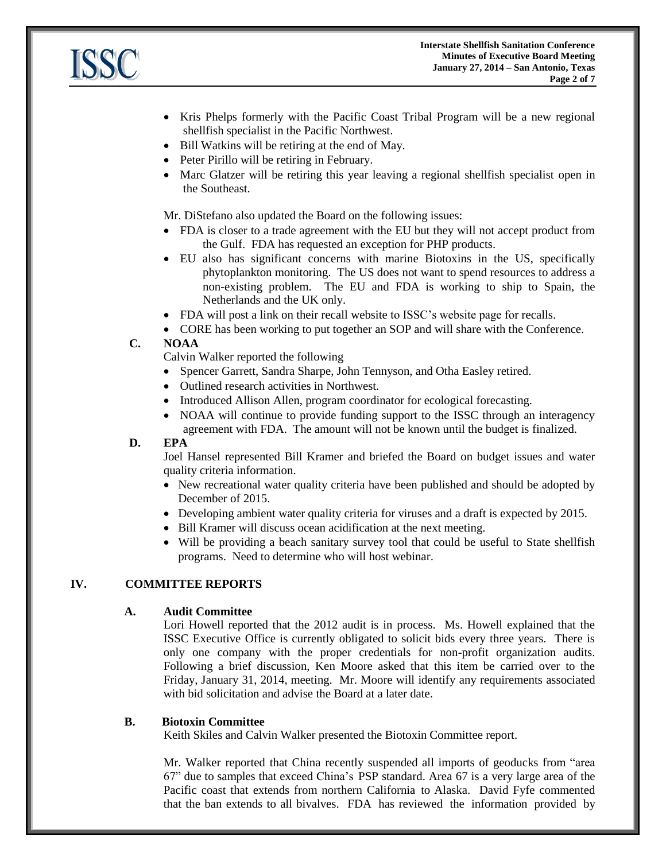

- Kris Phelps formerly with the Pacific Coast Tribal Program will be a new regional shellfish specialist in the Pacific Northwest.
- Bill Watkins will be retiring at the end of May.
- Peter Pirillo will be retiring in February.
- Marc Glatzer will be retiring this year leaving a regional shellfish specialist open in the Southeast.

Mr. DiStefano also updated the Board on the following issues:

- FDA is closer to a trade agreement with the EU but they will not accept product from the Gulf. FDA has requested an exception for PHP products.
- EU also has significant concerns with marine Biotoxins in the US, specifically phytoplankton monitoring. The US does not want to spend resources to address a non-existing problem. The EU and FDA is working to ship to Spain, the Netherlands and the UK only.
- FDA will post a link on their recall website to ISSC's website page for recalls.
- CORE has been working to put together an SOP and will share with the Conference.

# **C. NOAA**

Calvin Walker reported the following

- Spencer Garrett, Sandra Sharpe, John Tennyson, and Otha Easley retired.
- Outlined research activities in Northwest.
- Introduced Allison Allen, program coordinator for ecological forecasting.
- NOAA will continue to provide funding support to the ISSC through an interagency agreement with FDA. The amount will not be known until the budget is finalized.

## **D. EPA**

Joel Hansel represented Bill Kramer and briefed the Board on budget issues and water quality criteria information.

- New recreational water quality criteria have been published and should be adopted by December of 2015.
- Developing ambient water quality criteria for viruses and a draft is expected by 2015.
- Bill Kramer will discuss ocean acidification at the next meeting.
- Will be providing a beach sanitary survey tool that could be useful to State shellfish programs. Need to determine who will host webinar.

## **IV. COMMITTEE REPORTS**

## **A. Audit Committee**

Lori Howell reported that the 2012 audit is in process. Ms. Howell explained that the ISSC Executive Office is currently obligated to solicit bids every three years. There is only one company with the proper credentials for non-profit organization audits. Following a brief discussion, Ken Moore asked that this item be carried over to the Friday, January 31, 2014, meeting. Mr. Moore will identify any requirements associated with bid solicitation and advise the Board at a later date.

## **B. Biotoxin Committee**

Keith Skiles and Calvin Walker presented the Biotoxin Committee report.

Mr. Walker reported that China recently suspended all imports of geoducks from "area 67" due to samples that exceed China's PSP standard. Area 67 is a very large area of the Pacific coast that extends from northern California to Alaska. David Fyfe commented that the ban extends to all bivalves. FDA has reviewed the information provided by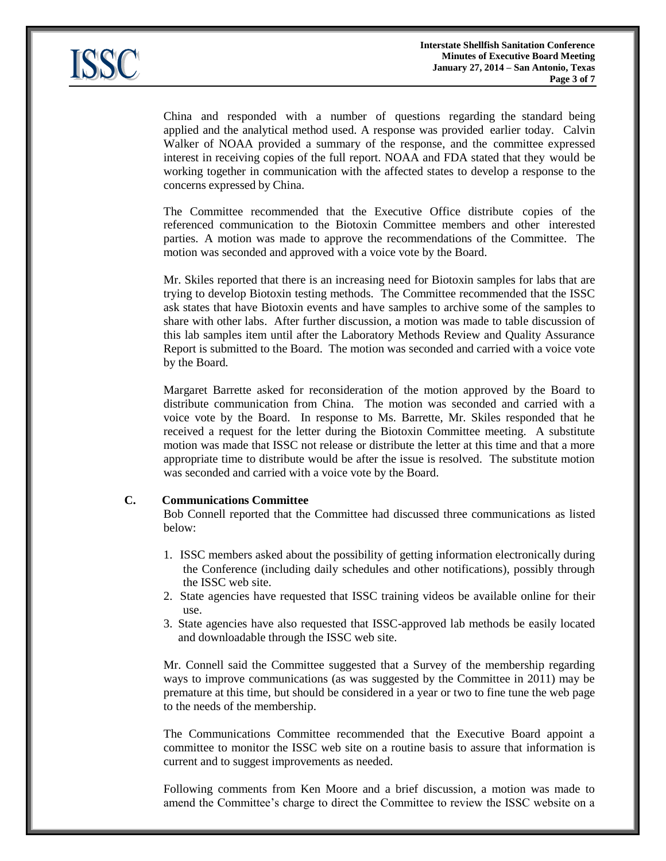

China and responded with a number of questions regarding the standard being applied and the analytical method used. A response was provided earlier today. Calvin Walker of NOAA provided a summary of the response, and the committee expressed interest in receiving copies of the full report. NOAA and FDA stated that they would be working together in communication with the affected states to develop a response to the concerns expressed by China.

The Committee recommended that the Executive Office distribute copies of the referenced communication to the Biotoxin Committee members and other interested parties. A motion was made to approve the recommendations of the Committee. The motion was seconded and approved with a voice vote by the Board.

Mr. Skiles reported that there is an increasing need for Biotoxin samples for labs that are trying to develop Biotoxin testing methods. The Committee recommended that the ISSC ask states that have Biotoxin events and have samples to archive some of the samples to share with other labs. After further discussion, a motion was made to table discussion of this lab samples item until after the Laboratory Methods Review and Quality Assurance Report is submitted to the Board. The motion was seconded and carried with a voice vote by the Board.

Margaret Barrette asked for reconsideration of the motion approved by the Board to distribute communication from China. The motion was seconded and carried with a voice vote by the Board. In response to Ms. Barrette, Mr. Skiles responded that he received a request for the letter during the Biotoxin Committee meeting. A substitute motion was made that ISSC not release or distribute the letter at this time and that a more appropriate time to distribute would be after the issue is resolved. The substitute motion was seconded and carried with a voice vote by the Board.

#### **C. Communications Committee**

Bob Connell reported that the Committee had discussed three communications as listed below:

- 1. ISSC members asked about the possibility of getting information electronically during the Conference (including daily schedules and other notifications), possibly through the ISSC web site.
- 2. State agencies have requested that ISSC training videos be available online for their use.
- 3. State agencies have also requested that ISSC-approved lab methods be easily located and downloadable through the ISSC web site.

Mr. Connell said the Committee suggested that a Survey of the membership regarding ways to improve communications (as was suggested by the Committee in 2011) may be premature at this time, but should be considered in a year or two to fine tune the web page to the needs of the membership.

The Communications Committee recommended that the Executive Board appoint a committee to monitor the ISSC web site on a routine basis to assure that information is current and to suggest improvements as needed.

Following comments from Ken Moore and a brief discussion, a motion was made to amend the Committee's charge to direct the Committee to review the ISSC website on a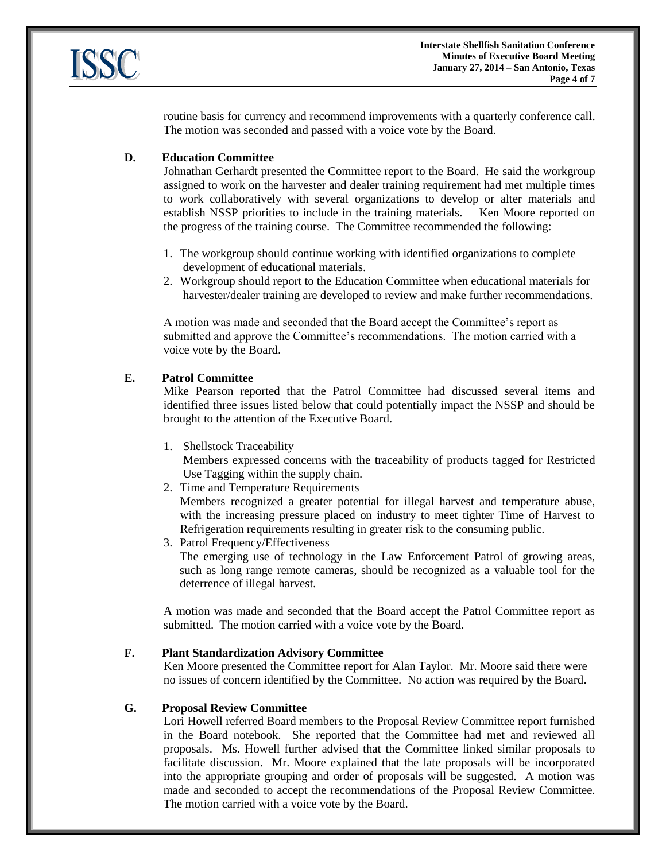

routine basis for currency and recommend improvements with a quarterly conference call. The motion was seconded and passed with a voice vote by the Board.

#### **D. Education Committee**

Johnathan Gerhardt presented the Committee report to the Board. He said the workgroup assigned to work on the harvester and dealer training requirement had met multiple times to work collaboratively with several organizations to develop or alter materials and establish NSSP priorities to include in the training materials. Ken Moore reported on the progress of the training course. The Committee recommended the following:

- 1. The workgroup should continue working with identified organizations to complete development of educational materials.
- 2. Workgroup should report to the Education Committee when educational materials for harvester/dealer training are developed to review and make further recommendations.

A motion was made and seconded that the Board accept the Committee's report as submitted and approve the Committee's recommendations. The motion carried with a voice vote by the Board.

#### **E. Patrol Committee**

Mike Pearson reported that the Patrol Committee had discussed several items and identified three issues listed below that could potentially impact the NSSP and should be brought to the attention of the Executive Board.

1. Shellstock Traceability

Members expressed concerns with the traceability of products tagged for Restricted Use Tagging within the supply chain.

2. Time and Temperature Requirements

Members recognized a greater potential for illegal harvest and temperature abuse, with the increasing pressure placed on industry to meet tighter Time of Harvest to Refrigeration requirements resulting in greater risk to the consuming public.

3. Patrol Frequency/Effectiveness

The emerging use of technology in the Law Enforcement Patrol of growing areas, such as long range remote cameras, should be recognized as a valuable tool for the deterrence of illegal harvest.

A motion was made and seconded that the Board accept the Patrol Committee report as submitted. The motion carried with a voice vote by the Board.

#### **F. Plant Standardization Advisory Committee**

Ken Moore presented the Committee report for Alan Taylor. Mr. Moore said there were no issues of concern identified by the Committee. No action was required by the Board.

#### **G. Proposal Review Committee**

Lori Howell referred Board members to the Proposal Review Committee report furnished in the Board notebook. She reported that the Committee had met and reviewed all proposals. Ms. Howell further advised that the Committee linked similar proposals to facilitate discussion. Mr. Moore explained that the late proposals will be incorporated into the appropriate grouping and order of proposals will be suggested. A motion was made and seconded to accept the recommendations of the Proposal Review Committee. The motion carried with a voice vote by the Board.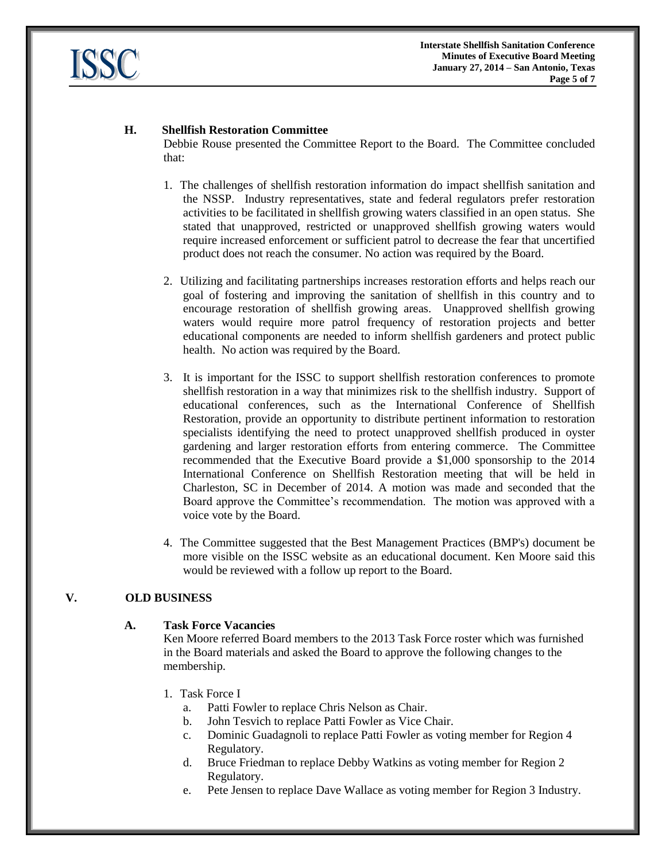

# **H. Shellfish Restoration Committee**

Debbie Rouse presented the Committee Report to the Board. The Committee concluded that:

- 1. The challenges of shellfish restoration information do impact shellfish sanitation and the NSSP. Industry representatives, state and federal regulators prefer restoration activities to be facilitated in shellfish growing waters classified in an open status. She stated that unapproved, restricted or unapproved shellfish growing waters would require increased enforcement or sufficient patrol to decrease the fear that uncertified product does not reach the consumer. No action was required by the Board.
- 2. Utilizing and facilitating partnerships increases restoration efforts and helps reach our goal of fostering and improving the sanitation of shellfish in this country and to encourage restoration of shellfish growing areas. Unapproved shellfish growing waters would require more patrol frequency of restoration projects and better educational components are needed to inform shellfish gardeners and protect public health. No action was required by the Board.
- 3. It is important for the ISSC to support shellfish restoration conferences to promote shellfish restoration in a way that minimizes risk to the shellfish industry. Support of educational conferences, such as the International Conference of Shellfish Restoration, provide an opportunity to distribute pertinent information to restoration specialists identifying the need to protect unapproved shellfish produced in oyster gardening and larger restoration efforts from entering commerce. The Committee recommended that the Executive Board provide a \$1,000 sponsorship to the 2014 International Conference on Shellfish Restoration meeting that will be held in Charleston, SC in December of 2014. A motion was made and seconded that the Board approve the Committee's recommendation. The motion was approved with a voice vote by the Board.
- 4. The Committee suggested that the Best Management Practices (BMP's) document be more visible on the ISSC website as an educational document. Ken Moore said this would be reviewed with a follow up report to the Board.

# **V. OLD BUSINESS**

## **A. Task Force Vacancies**

Ken Moore referred Board members to the 2013 Task Force roster which was furnished in the Board materials and asked the Board to approve the following changes to the membership.

- 1. Task Force I
	- a. Patti Fowler to replace Chris Nelson as Chair.
	- b. John Tesvich to replace Patti Fowler as Vice Chair.
	- c. Dominic Guadagnoli to replace Patti Fowler as voting member for Region 4 Regulatory.
	- d. Bruce Friedman to replace Debby Watkins as voting member for Region 2 Regulatory.
	- e. Pete Jensen to replace Dave Wallace as voting member for Region 3 Industry.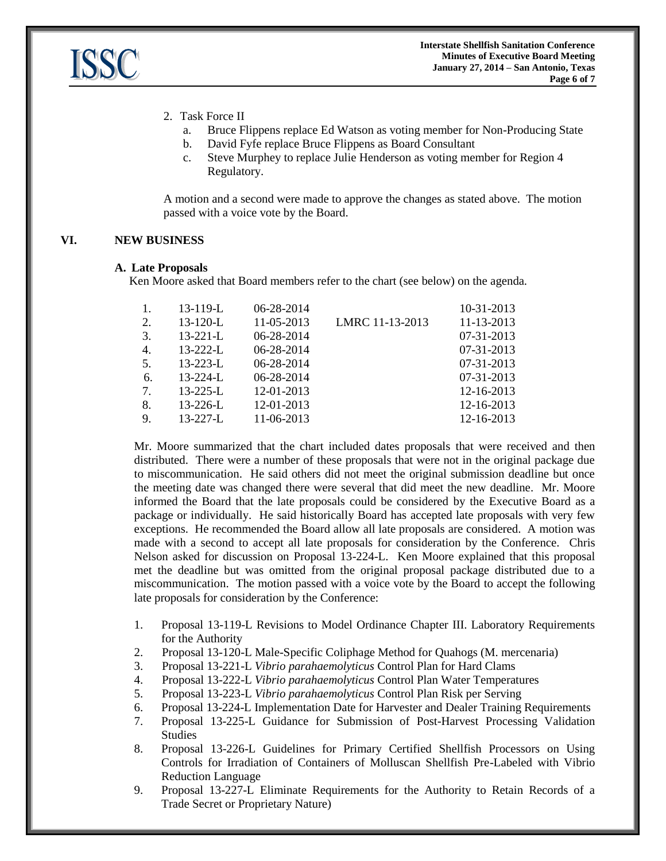

- 2. Task Force II
	- a. Bruce Flippens replace Ed Watson as voting member for Non-Producing State
	- b. David Fyfe replace Bruce Flippens as Board Consultant
	- c. Steve Murphey to replace Julie Henderson as voting member for Region 4 Regulatory.

A motion and a second were made to approve the changes as stated above. The motion passed with a voice vote by the Board.

# **VI. NEW BUSINESS**

#### **A. Late Proposals**

Ken Moore asked that Board members refer to the chart (see below) on the agenda.

| 1.          | $13 - 119 - L$ | 06-28-2014 |                 | 10-31-2013 |
|-------------|----------------|------------|-----------------|------------|
| 2.          | $13 - 120 - L$ | 11-05-2013 | LMRC 11-13-2013 | 11-13-2013 |
| 3.          | $13 - 221 - L$ | 06-28-2014 |                 | 07-31-2013 |
| 4.          | $13 - 222 - L$ | 06-28-2014 |                 | 07-31-2013 |
| 5.          | $13 - 223 - L$ | 06-28-2014 |                 | 07-31-2013 |
| 6.          | $13 - 224 - L$ | 06-28-2014 |                 | 07-31-2013 |
| $7_{\cdot}$ | $13 - 225 - L$ | 12-01-2013 |                 | 12-16-2013 |
| 8.          | $13 - 226 - L$ | 12-01-2013 |                 | 12-16-2013 |
| 9.          | $13 - 227 - L$ | 11-06-2013 |                 | 12-16-2013 |
|             |                |            |                 |            |

Mr. Moore summarized that the chart included dates proposals that were received and then distributed. There were a number of these proposals that were not in the original package due to miscommunication. He said others did not meet the original submission deadline but once the meeting date was changed there were several that did meet the new deadline. Mr. Moore informed the Board that the late proposals could be considered by the Executive Board as a package or individually. He said historically Board has accepted late proposals with very few exceptions. He recommended the Board allow all late proposals are considered. A motion was made with a second to accept all late proposals for consideration by the Conference. Chris Nelson asked for discussion on Proposal 13-224-L. Ken Moore explained that this proposal met the deadline but was omitted from the original proposal package distributed due to a miscommunication. The motion passed with a voice vote by the Board to accept the following late proposals for consideration by the Conference:

- 1. Proposal 13-119-L Revisions to Model Ordinance Chapter III. Laboratory Requirements for the Authority
- 2. Proposal 13-120-L Male-Specific Coliphage Method for Quahogs (M. mercenaria)
- 3. Proposal 13-221-L *Vibrio parahaemolyticus* Control Plan for Hard Clams
- 4. Proposal 13-222-L *Vibrio parahaemolyticus* Control Plan Water Temperatures
- 5. Proposal 13-223-L *Vibrio parahaemolyticus* Control Plan Risk per Serving
- 6. Proposal 13-224-L Implementation Date for Harvester and Dealer Training Requirements
- 7. Proposal 13-225-L Guidance for Submission of Post-Harvest Processing Validation Studies
- 8. Proposal 13-226-L Guidelines for Primary Certified Shellfish Processors on Using Controls for Irradiation of Containers of Molluscan Shellfish Pre-Labeled with Vibrio Reduction Language
- 9. Proposal 13-227-L Eliminate Requirements for the Authority to Retain Records of a Trade Secret or Proprietary Nature)